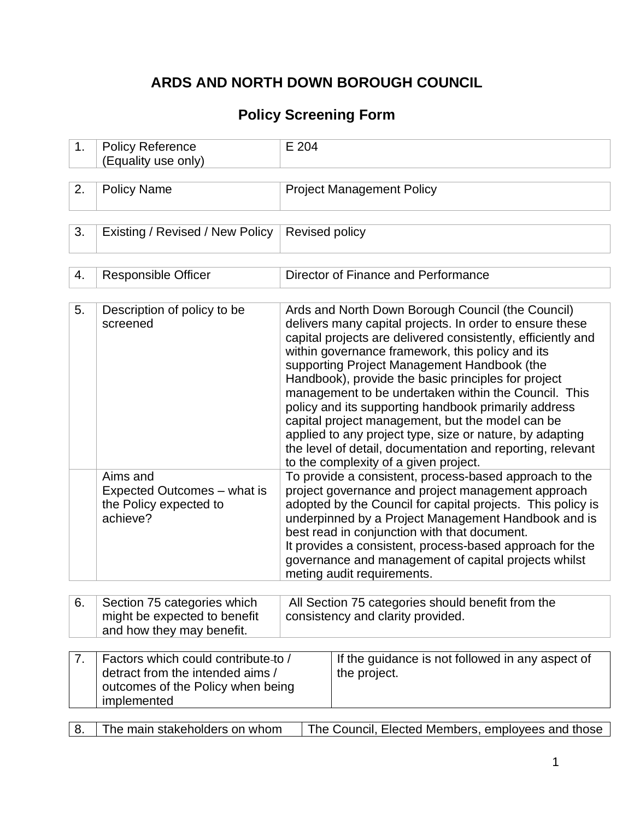# **ARDS AND NORTH DOWN BOROUGH COUNCIL**

## **Policy Screening Form**

| 1. | <b>Policy Reference</b><br>(Equality use only)                                                                              | E 204                                                                                                                                                                                                                                                                                                                                                                                                                                |                                                                                                                                                                                                                                                                                                                                                                                                                                                                                                                                                                                                                                                                                |  |  |  |
|----|-----------------------------------------------------------------------------------------------------------------------------|--------------------------------------------------------------------------------------------------------------------------------------------------------------------------------------------------------------------------------------------------------------------------------------------------------------------------------------------------------------------------------------------------------------------------------------|--------------------------------------------------------------------------------------------------------------------------------------------------------------------------------------------------------------------------------------------------------------------------------------------------------------------------------------------------------------------------------------------------------------------------------------------------------------------------------------------------------------------------------------------------------------------------------------------------------------------------------------------------------------------------------|--|--|--|
|    |                                                                                                                             |                                                                                                                                                                                                                                                                                                                                                                                                                                      |                                                                                                                                                                                                                                                                                                                                                                                                                                                                                                                                                                                                                                                                                |  |  |  |
| 2. | <b>Policy Name</b>                                                                                                          |                                                                                                                                                                                                                                                                                                                                                                                                                                      | <b>Project Management Policy</b>                                                                                                                                                                                                                                                                                                                                                                                                                                                                                                                                                                                                                                               |  |  |  |
|    |                                                                                                                             |                                                                                                                                                                                                                                                                                                                                                                                                                                      |                                                                                                                                                                                                                                                                                                                                                                                                                                                                                                                                                                                                                                                                                |  |  |  |
| 3. | Existing / Revised / New Policy                                                                                             | Revised policy                                                                                                                                                                                                                                                                                                                                                                                                                       |                                                                                                                                                                                                                                                                                                                                                                                                                                                                                                                                                                                                                                                                                |  |  |  |
|    |                                                                                                                             |                                                                                                                                                                                                                                                                                                                                                                                                                                      |                                                                                                                                                                                                                                                                                                                                                                                                                                                                                                                                                                                                                                                                                |  |  |  |
| 4. | <b>Responsible Officer</b>                                                                                                  |                                                                                                                                                                                                                                                                                                                                                                                                                                      | Director of Finance and Performance                                                                                                                                                                                                                                                                                                                                                                                                                                                                                                                                                                                                                                            |  |  |  |
|    |                                                                                                                             |                                                                                                                                                                                                                                                                                                                                                                                                                                      |                                                                                                                                                                                                                                                                                                                                                                                                                                                                                                                                                                                                                                                                                |  |  |  |
| 5. | Description of policy to be<br>screened                                                                                     |                                                                                                                                                                                                                                                                                                                                                                                                                                      | Ards and North Down Borough Council (the Council)<br>delivers many capital projects. In order to ensure these<br>capital projects are delivered consistently, efficiently and<br>within governance framework, this policy and its<br>supporting Project Management Handbook (the<br>Handbook), provide the basic principles for project<br>management to be undertaken within the Council. This<br>policy and its supporting handbook primarily address<br>capital project management, but the model can be<br>applied to any project type, size or nature, by adapting<br>the level of detail, documentation and reporting, relevant<br>to the complexity of a given project. |  |  |  |
|    | Aims and<br>Expected Outcomes – what is<br>the Policy expected to<br>achieve?                                               | To provide a consistent, process-based approach to the<br>project governance and project management approach<br>adopted by the Council for capital projects. This policy is<br>underpinned by a Project Management Handbook and is<br>best read in conjunction with that document.<br>It provides a consistent, process-based approach for the<br>governance and management of capital projects whilst<br>meting audit requirements. |                                                                                                                                                                                                                                                                                                                                                                                                                                                                                                                                                                                                                                                                                |  |  |  |
|    |                                                                                                                             |                                                                                                                                                                                                                                                                                                                                                                                                                                      |                                                                                                                                                                                                                                                                                                                                                                                                                                                                                                                                                                                                                                                                                |  |  |  |
| 6. | Section 75 categories which<br>might be expected to benefit<br>and how they may benefit.                                    |                                                                                                                                                                                                                                                                                                                                                                                                                                      | All Section 75 categories should benefit from the<br>consistency and clarity provided.                                                                                                                                                                                                                                                                                                                                                                                                                                                                                                                                                                                         |  |  |  |
| 7. | Factors which could contribute-to /<br>detract from the intended aims /<br>outcomes of the Policy when being<br>implemented |                                                                                                                                                                                                                                                                                                                                                                                                                                      | If the guidance is not followed in any aspect of<br>the project.                                                                                                                                                                                                                                                                                                                                                                                                                                                                                                                                                                                                               |  |  |  |
|    |                                                                                                                             |                                                                                                                                                                                                                                                                                                                                                                                                                                      |                                                                                                                                                                                                                                                                                                                                                                                                                                                                                                                                                                                                                                                                                |  |  |  |
| 8. | The main stakeholders on whom                                                                                               |                                                                                                                                                                                                                                                                                                                                                                                                                                      | The Council, Elected Members, employees and those                                                                                                                                                                                                                                                                                                                                                                                                                                                                                                                                                                                                                              |  |  |  |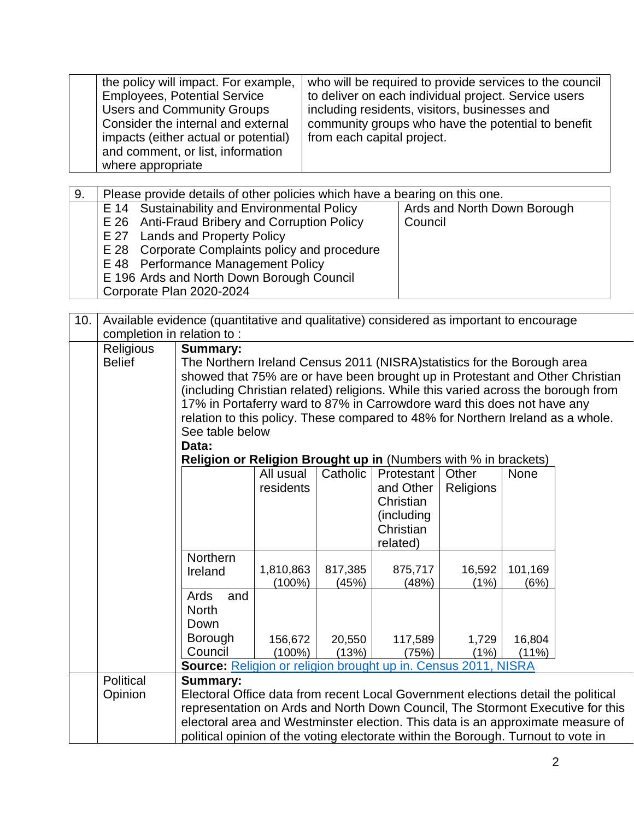| the policy will impact. For example,<br><b>Employees, Potential Service</b><br><b>Users and Community Groups</b><br>Consider the internal and external<br>impacts (either actual or potential)<br>and comment, or list, information<br>where appropriate | who will be required to provide services to the council<br>to deliver on each individual project. Service users<br>including residents, visitors, businesses and<br>community groups who have the potential to benefit<br>from each capital project. |
|----------------------------------------------------------------------------------------------------------------------------------------------------------------------------------------------------------------------------------------------------------|------------------------------------------------------------------------------------------------------------------------------------------------------------------------------------------------------------------------------------------------------|
|----------------------------------------------------------------------------------------------------------------------------------------------------------------------------------------------------------------------------------------------------------|------------------------------------------------------------------------------------------------------------------------------------------------------------------------------------------------------------------------------------------------------|

| 9. | Please provide details of other policies which have a bearing on this one.                                                                                                                                                                                                                       |                                        |  |  |  |  |  |
|----|--------------------------------------------------------------------------------------------------------------------------------------------------------------------------------------------------------------------------------------------------------------------------------------------------|----------------------------------------|--|--|--|--|--|
|    | E 14 Sustainability and Environmental Policy<br>E 26 Anti-Fraud Bribery and Corruption Policy<br>E 27 Lands and Property Policy<br>E 28 Corporate Complaints policy and procedure<br>E 48 Performance Management Policy<br>E 196 Ards and North Down Borough Council<br>Corporate Plan 2020-2024 | Ards and North Down Borough<br>Council |  |  |  |  |  |

| 10. |                            | Available evidence (quantitative and qualitative) considered as important to encourage                                                                              |                                                                         |          |             |           |             |  |  |  |
|-----|----------------------------|---------------------------------------------------------------------------------------------------------------------------------------------------------------------|-------------------------------------------------------------------------|----------|-------------|-----------|-------------|--|--|--|
|     | completion in relation to: |                                                                                                                                                                     |                                                                         |          |             |           |             |  |  |  |
|     | Religious                  | Summary:                                                                                                                                                            |                                                                         |          |             |           |             |  |  |  |
|     | <b>Belief</b>              | The Northern Ireland Census 2011 (NISRA) statistics for the Borough area                                                                                            |                                                                         |          |             |           |             |  |  |  |
|     |                            | showed that 75% are or have been brought up in Protestant and Other Christian                                                                                       |                                                                         |          |             |           |             |  |  |  |
|     |                            | (including Christian related) religions. While this varied across the borough from                                                                                  |                                                                         |          |             |           |             |  |  |  |
|     |                            |                                                                                                                                                                     | 17% in Portaferry ward to 87% in Carrowdore ward this does not have any |          |             |           |             |  |  |  |
|     |                            | relation to this policy. These compared to 48% for Northern Ireland as a whole.                                                                                     |                                                                         |          |             |           |             |  |  |  |
|     |                            | See table below                                                                                                                                                     |                                                                         |          |             |           |             |  |  |  |
|     |                            | Data:                                                                                                                                                               |                                                                         |          |             |           |             |  |  |  |
|     |                            | <b>Religion or Religion Brought up in (Numbers with % in brackets)</b>                                                                                              |                                                                         |          |             |           |             |  |  |  |
|     |                            |                                                                                                                                                                     | All usual                                                               | Catholic | Protestant  | Other     | <b>None</b> |  |  |  |
|     |                            |                                                                                                                                                                     | residents                                                               |          | and Other   | Religions |             |  |  |  |
|     |                            |                                                                                                                                                                     |                                                                         |          | Christian   |           |             |  |  |  |
|     |                            |                                                                                                                                                                     |                                                                         |          | (including) |           |             |  |  |  |
|     |                            |                                                                                                                                                                     |                                                                         |          | Christian   |           |             |  |  |  |
|     |                            |                                                                                                                                                                     |                                                                         |          | related)    |           |             |  |  |  |
|     |                            | Northern                                                                                                                                                            |                                                                         |          |             |           |             |  |  |  |
|     |                            | Ireland                                                                                                                                                             | 1,810,863                                                               | 817,385  | 875,717     | 16,592    | 101,169     |  |  |  |
|     |                            |                                                                                                                                                                     | (100%)                                                                  | (45%)    | (48%)       | (1%)      | (6%)        |  |  |  |
|     |                            | Ards<br>and<br><b>North</b>                                                                                                                                         |                                                                         |          |             |           |             |  |  |  |
|     |                            | Down                                                                                                                                                                |                                                                         |          |             |           |             |  |  |  |
|     |                            |                                                                                                                                                                     |                                                                         |          |             |           |             |  |  |  |
|     |                            | <b>Borough</b><br>Council                                                                                                                                           | 156,672<br>$(100\%)$                                                    | 20,550   | 117,589     | 1,729     | 16,804      |  |  |  |
|     |                            | Source: Religion or religion brought up in. Census 2011, NISRA                                                                                                      |                                                                         | (13%)    | (75%)       | (1%)      | (11%)       |  |  |  |
|     | Political                  | <b>Summary:</b>                                                                                                                                                     |                                                                         |          |             |           |             |  |  |  |
|     |                            |                                                                                                                                                                     |                                                                         |          |             |           |             |  |  |  |
|     | Opinion                    | Electoral Office data from recent Local Government elections detail the political<br>representation on Ards and North Down Council, The Stormont Executive for this |                                                                         |          |             |           |             |  |  |  |
|     |                            | electoral area and Westminster election. This data is an approximate measure of                                                                                     |                                                                         |          |             |           |             |  |  |  |
|     |                            |                                                                                                                                                                     |                                                                         |          |             |           |             |  |  |  |
|     |                            | political opinion of the voting electorate within the Borough. Turnout to vote in                                                                                   |                                                                         |          |             |           |             |  |  |  |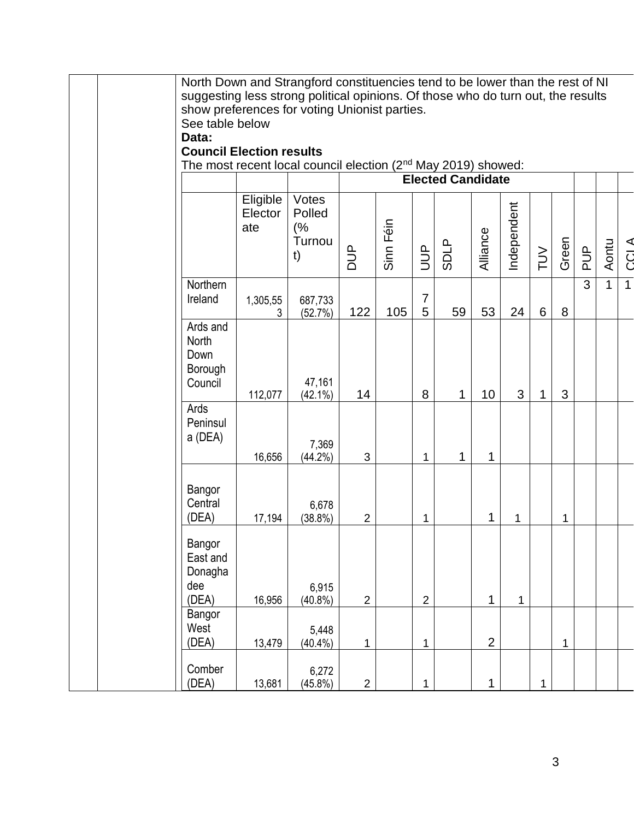|  | North Down and Strangford constituencies tend to be lower than the rest of NI<br>suggesting less strong political opinions. Of those who do turn out, the results |               |                    |                |           |                |                          |                |             |        |             |               |       |             |
|--|-------------------------------------------------------------------------------------------------------------------------------------------------------------------|---------------|--------------------|----------------|-----------|----------------|--------------------------|----------------|-------------|--------|-------------|---------------|-------|-------------|
|  | show preferences for voting Unionist parties.                                                                                                                     |               |                    |                |           |                |                          |                |             |        |             |               |       |             |
|  | See table below                                                                                                                                                   |               |                    |                |           |                |                          |                |             |        |             |               |       |             |
|  | Data:                                                                                                                                                             |               |                    |                |           |                |                          |                |             |        |             |               |       |             |
|  | <b>Council Election results</b>                                                                                                                                   |               |                    |                |           |                |                          |                |             |        |             |               |       |             |
|  | The most recent local council election (2 <sup>nd</sup> May 2019) showed:                                                                                         |               |                    |                |           |                |                          |                |             |        |             |               |       |             |
|  |                                                                                                                                                                   |               |                    |                |           |                | <b>Elected Candidate</b> |                |             |        |             |               |       |             |
|  |                                                                                                                                                                   | Eligible      | Votes              |                |           |                |                          |                |             |        |             |               |       |             |
|  |                                                                                                                                                                   | Elector       | Polled             |                |           |                |                          |                | Independent |        |             |               |       |             |
|  |                                                                                                                                                                   | ate           | (%                 |                | Sinn Féin |                |                          |                |             |        |             |               |       |             |
|  |                                                                                                                                                                   |               | Turnou             |                |           |                |                          |                |             |        |             |               |       |             |
|  |                                                                                                                                                                   |               | t)                 | <b>AUQ</b>     |           | <b>AUD</b>     | <b>SDLP</b>              | Alliance       |             | $\geq$ | Green       | $\frac{p}{q}$ | Aontu | <b>CCLA</b> |
|  |                                                                                                                                                                   |               |                    |                |           |                |                          |                |             |        |             |               |       |             |
|  | Northern                                                                                                                                                          |               |                    |                |           | $\overline{7}$ |                          |                |             |        |             | 3             | 1     | 1           |
|  | Ireland                                                                                                                                                           | 1,305,55<br>3 | 687,733<br>(52.7%) | 122            | 105       | 5              | 59                       | 53             | 24          | 6      | 8           |               |       |             |
|  | Ards and                                                                                                                                                          |               |                    |                |           |                |                          |                |             |        |             |               |       |             |
|  | North                                                                                                                                                             |               |                    |                |           |                |                          |                |             |        |             |               |       |             |
|  | Down                                                                                                                                                              |               |                    |                |           |                |                          |                |             |        |             |               |       |             |
|  | Borough                                                                                                                                                           |               |                    |                |           |                |                          |                |             |        |             |               |       |             |
|  | Council                                                                                                                                                           |               | 47,161             |                |           |                |                          |                |             |        |             |               |       |             |
|  | Ards                                                                                                                                                              | 112,077       | $(42.1\%)$         | 14             |           | 8              | $\mathbf{1}$             | 10             | 3           | 1      | 3           |               |       |             |
|  | Peninsul                                                                                                                                                          |               |                    |                |           |                |                          |                |             |        |             |               |       |             |
|  | a (DEA)                                                                                                                                                           |               |                    |                |           |                |                          |                |             |        |             |               |       |             |
|  |                                                                                                                                                                   |               | 7,369              |                |           |                |                          |                |             |        |             |               |       |             |
|  |                                                                                                                                                                   | 16,656        | $(44.2\%)$         | 3              |           | $\mathbf{1}$   | 1                        | $\mathbf{1}$   |             |        |             |               |       |             |
|  |                                                                                                                                                                   |               |                    |                |           |                |                          |                |             |        |             |               |       |             |
|  | Bangor                                                                                                                                                            |               |                    |                |           |                |                          |                |             |        |             |               |       |             |
|  | Central                                                                                                                                                           |               | 6,678              |                |           |                |                          |                |             |        |             |               |       |             |
|  | (DEA)                                                                                                                                                             | 17,194        | $(38.8\%)$         | $\overline{2}$ |           | 1              |                          | 1              | 1           |        | 1           |               |       |             |
|  | Bangor                                                                                                                                                            |               |                    |                |           |                |                          |                |             |        |             |               |       |             |
|  | East and                                                                                                                                                          |               |                    |                |           |                |                          |                |             |        |             |               |       |             |
|  | Donagha                                                                                                                                                           |               |                    |                |           |                |                          |                |             |        |             |               |       |             |
|  | dee                                                                                                                                                               |               | 6,915              |                |           |                |                          |                |             |        |             |               |       |             |
|  | (DEA)                                                                                                                                                             | 16,956        | $(40.8\%)$         | $\overline{2}$ |           | $\overline{2}$ |                          | $\mathbf{1}$   | $\mathbf 1$ |        |             |               |       |             |
|  | Bangor                                                                                                                                                            |               |                    |                |           |                |                          |                |             |        |             |               |       |             |
|  | West                                                                                                                                                              |               | 5,448              |                |           |                |                          |                |             |        |             |               |       |             |
|  | (DEA)                                                                                                                                                             | 13,479        | $(40.4\%)$         | 1              |           | $\mathbf{1}$   |                          | $\overline{2}$ |             |        | $\mathbf 1$ |               |       |             |
|  | Comber                                                                                                                                                            |               | 6,272              |                |           |                |                          |                |             |        |             |               |       |             |
|  | (DEA)                                                                                                                                                             | 13,681        | (45.8%)            | $\overline{2}$ |           | $\mathbf 1$    |                          | $\mathbf{1}$   |             | 1      |             |               |       |             |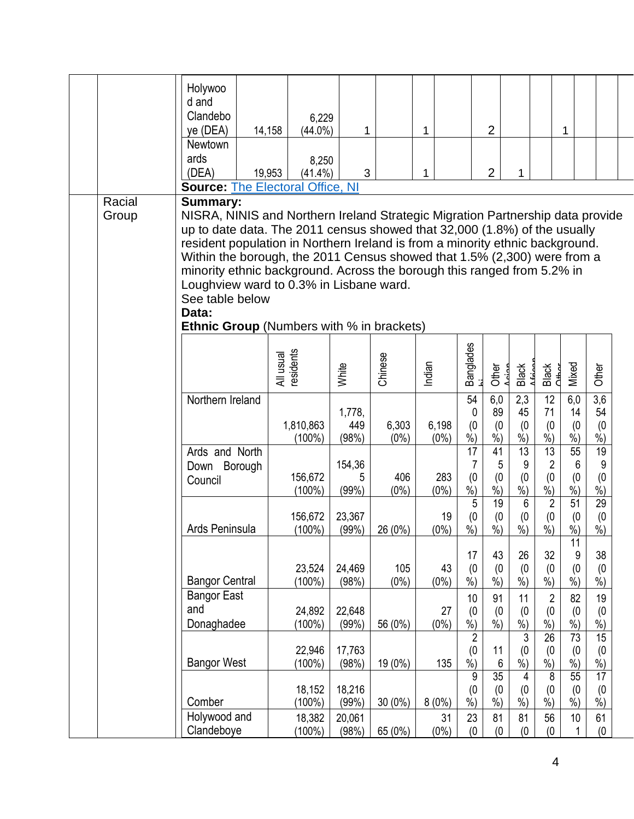|  |                 | Holywoo<br>d and<br>Clandebo<br>ye (DEA)                                                                                                                                                                                                                                                                                                                                                                                                                                                                                                          | 6,229<br>14,158<br>$(44.0\%)$ | 1                      |                  | 1                |                                            | $\overline{2}$                 |                                                      |                                                         | 1                                                          |                                              |  |  |
|--|-----------------|---------------------------------------------------------------------------------------------------------------------------------------------------------------------------------------------------------------------------------------------------------------------------------------------------------------------------------------------------------------------------------------------------------------------------------------------------------------------------------------------------------------------------------------------------|-------------------------------|------------------------|------------------|------------------|--------------------------------------------|--------------------------------|------------------------------------------------------|---------------------------------------------------------|------------------------------------------------------------|----------------------------------------------|--|--|
|  |                 | Newtown<br>ards<br>(DEA)                                                                                                                                                                                                                                                                                                                                                                                                                                                                                                                          | 8,250<br>19,953<br>$(41.4\%)$ | 3                      |                  | 1                |                                            | $\overline{2}$                 | 1                                                    |                                                         |                                                            |                                              |  |  |
|  |                 | <b>Source: The Electoral Office, NI</b>                                                                                                                                                                                                                                                                                                                                                                                                                                                                                                           |                               |                        |                  |                  |                                            |                                |                                                      |                                                         |                                                            |                                              |  |  |
|  | Racial<br>Group | <b>Summary:</b><br>NISRA, NINIS and Northern Ireland Strategic Migration Partnership data provide<br>up to date data. The 2011 census showed that 32,000 (1.8%) of the usually<br>resident population in Northern Ireland is from a minority ethnic background.<br>Within the borough, the 2011 Census showed that 1.5% (2,300) were from a<br>minority ethnic background. Across the borough this ranged from 5.2% in<br>Loughview ward to 0.3% in Lisbane ward.<br>See table below<br>Data:<br><b>Ethnic Group</b> (Numbers with % in brackets) |                               |                        |                  |                  |                                            |                                |                                                      |                                                         |                                                            |                                              |  |  |
|  |                 |                                                                                                                                                                                                                                                                                                                                                                                                                                                                                                                                                   | All usual<br>residents        | White                  | Chinese          | Indian           | Banglades<br><sub>hi</sub>                 | Other                          | Black                                                | Black<br><b>CHHO</b>                                    | Mixed                                                      | Other                                        |  |  |
|  |                 | Northern Ireland                                                                                                                                                                                                                                                                                                                                                                                                                                                                                                                                  | 1,810,863<br>$(100\%)$        | 1,778,<br>449<br>(98%) | 6,303<br>$(0\%)$ | 6,198<br>$(0\%)$ | 54<br>0<br>(0)<br>$\dot{\%}$               | 6,0<br>89<br>(0)<br>$\dot{\%}$ | 2,3<br>45<br>(0)<br>$\dot{\%})$                      | 12<br>71<br>(0)<br>$\dot{\%})$                          | 6,0<br>14<br>(0)<br>$\dot{\%})$                            | $\overline{3,6}$<br>54<br>(0)<br>$\dot{\%})$ |  |  |
|  |                 | Ards and North<br>Down Borough<br>Council                                                                                                                                                                                                                                                                                                                                                                                                                                                                                                         | 156,672<br>$(100\%)$          | 154,36<br>5<br>(99%)   | 406<br>$(0\%)$   | 283<br>$(0\%)$   | 17<br>7<br>(0)<br>$%$ )                    | 41<br>5<br>(0)<br>$%$ )        | $\overline{13}$<br>$9\,$<br>(0)<br>$\sqrt[6]{\cdot}$ | 13<br>$\overline{2}$<br>(0)<br>$\frac{9}{6}$            | $\overline{55}$<br>$6\phantom{1}6$<br>(0)<br>$\frac{9}{6}$ | $\overline{19}$<br>9<br>(0)<br>$%$ )         |  |  |
|  |                 | Ards Peninsula                                                                                                                                                                                                                                                                                                                                                                                                                                                                                                                                    | 156,672<br>$(100\%)$          | 23,367<br>(99%)        | 26 (0%)          | 19<br>$(0\%)$    | 5<br>(0)<br>$\frac{0}{0}$                  | 19<br>(0)<br>$%$ )             | $\,6\,$<br>(0)<br>$\frac{0}{0}$                      | $\overline{2}$<br>(0)<br>$%$ )                          | $\overline{51}$<br>(0)<br>$%$ )<br>11                      | 29<br>(0)<br>$\frac{9}{0}$                   |  |  |
|  |                 | <b>Bangor Central</b>                                                                                                                                                                                                                                                                                                                                                                                                                                                                                                                             | 23,524<br>$(100\%)$           | 24,469<br>(98%)        | 105<br>$(0\%)$   | 43<br>$(0\%)$    | 17<br>(0)<br>$%$ )                         | 43<br>(0)<br>$%$ )             | 26<br>(0)<br>$%$ )                                   | 32<br>(0)<br>$%$ )                                      | 9<br>(0)<br>$%$ )                                          | 38<br>(0)<br>$%$ )                           |  |  |
|  |                 | <b>Bangor East</b><br>and<br>Donaghadee                                                                                                                                                                                                                                                                                                                                                                                                                                                                                                           | 24,892<br>$(100\%)$           | 22,648<br>(99%)        | 56 (0%)          | 27<br>$(0\%)$    | 10<br>(0)<br>$\dot{\%})$<br>$\overline{2}$ | 91<br>(0)<br>$\dot{\%}$        | 11<br>(0)<br>$\dot{\%})$<br>3                        | $\overline{2}$<br>(0)<br>$\dot{\%})$<br>$\overline{26}$ | 82<br>(0)<br>$\overline{\frac{9}{6}})$<br>$\overline{73}$  | 19<br>(0)<br>$\dot{\%})$<br>$\overline{15}$  |  |  |
|  |                 | <b>Bangor West</b>                                                                                                                                                                                                                                                                                                                                                                                                                                                                                                                                | 22,946<br>$(100\%)$           | 17,763<br>(98%)        | 19 (0%)          | 135              | (0)<br>$\sqrt[6]{\cdot}$<br>9              | 11<br>6<br>35                  | (0)<br>$%$ )<br>4                                    | (0)<br>$%$ )<br>$\overline{8}$                          | (0)<br>$%$ )<br>55                                         | (0)<br>$%$ )<br>$\overline{17}$              |  |  |
|  |                 | Comber                                                                                                                                                                                                                                                                                                                                                                                                                                                                                                                                            | 18,152<br>$(100\%)$           | 18,216<br>(99%)        | $30(0\%)$        | 8(0%)            | (0)<br>$\sqrt[6]{\cdot}$                   | (0)<br>$\frac{9}{6}$           | (0)<br>$\frac{9}{6}$                                 | (0)<br>$\sqrt{6}$                                       | (0)<br>$%$ )                                               | (0)<br>$\sqrt{6}$                            |  |  |
|  |                 | Holywood and<br>Clandeboye                                                                                                                                                                                                                                                                                                                                                                                                                                                                                                                        | 18,382<br>$(100\%)$           | 20,061<br>(98%)        | 65 (0%)          | 31<br>$(0\%)$    | 23<br>(0)                                  | 81<br>(0)                      | 81<br>(0)                                            | 56<br>(0)                                               | 10                                                         | 61<br>(0)                                    |  |  |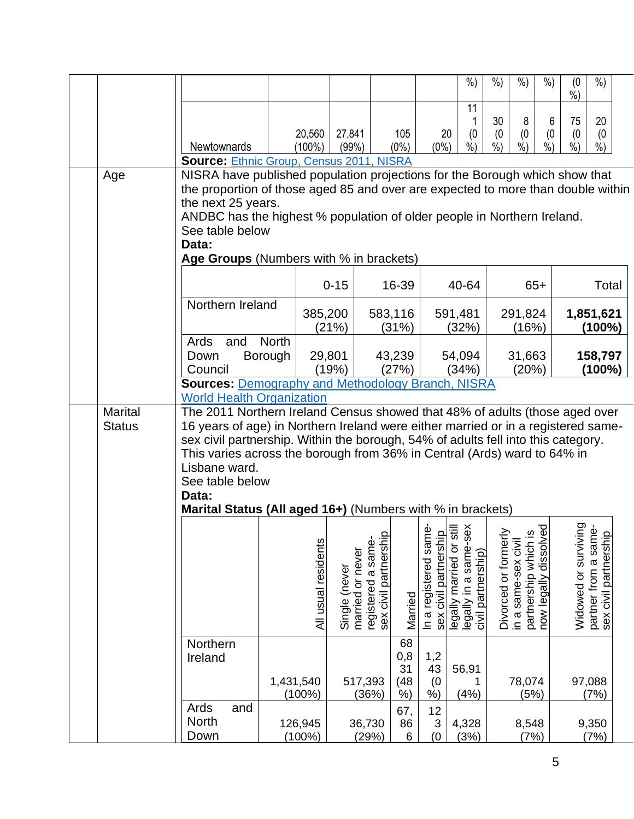|                                 |                                                                                                                                                                                                                                                                                                                                                                                                                                              |              |                      |                                   |                                                         |                  |                    | $%$ )                                                                                                                     | $%$ )              | $%$ )                     | $%$ )                                         | (0)<br>$\frac{0}{0}$ | $%$ )                                                                 |  |
|---------------------------------|----------------------------------------------------------------------------------------------------------------------------------------------------------------------------------------------------------------------------------------------------------------------------------------------------------------------------------------------------------------------------------------------------------------------------------------------|--------------|----------------------|-----------------------------------|---------------------------------------------------------|------------------|--------------------|---------------------------------------------------------------------------------------------------------------------------|--------------------|---------------------------|-----------------------------------------------|----------------------|-----------------------------------------------------------------------|--|
|                                 |                                                                                                                                                                                                                                                                                                                                                                                                                                              |              |                      |                                   |                                                         |                  |                    | 11                                                                                                                        | 30                 | 8                         | 6                                             | 75                   | 20                                                                    |  |
|                                 |                                                                                                                                                                                                                                                                                                                                                                                                                                              |              | 20,560               | 27,841                            |                                                         | 105              | 20                 | (0)                                                                                                                       | (0)                | (0)                       | (0)                                           | (0)                  | (0)                                                                   |  |
|                                 | Newtownards                                                                                                                                                                                                                                                                                                                                                                                                                                  |              | $(100\%)$            | (99%)                             |                                                         | $(0\%)$          | $(0\%)$            | $\dot{\%}$                                                                                                                | $\frac{9}{6}$      | $\overline{\frac{9}{6}})$ | $\dot{\%}$                                    | $\frac{0}{0}$        | $\dot{\%}$                                                            |  |
| Age                             | <b>Source: Ethnic Group, Census 2011, NISRA</b><br>NISRA have published population projections for the Borough which show that                                                                                                                                                                                                                                                                                                               |              |                      |                                   |                                                         |                  |                    |                                                                                                                           |                    |                           |                                               |                      |                                                                       |  |
|                                 | the proportion of those aged 85 and over are expected to more than double within                                                                                                                                                                                                                                                                                                                                                             |              |                      |                                   |                                                         |                  |                    |                                                                                                                           |                    |                           |                                               |                      |                                                                       |  |
|                                 | the next 25 years.                                                                                                                                                                                                                                                                                                                                                                                                                           |              |                      |                                   |                                                         |                  |                    |                                                                                                                           |                    |                           |                                               |                      |                                                                       |  |
|                                 | ANDBC has the highest % population of older people in Northern Ireland.<br>See table below                                                                                                                                                                                                                                                                                                                                                   |              |                      |                                   |                                                         |                  |                    |                                                                                                                           |                    |                           |                                               |                      |                                                                       |  |
|                                 | Data:                                                                                                                                                                                                                                                                                                                                                                                                                                        |              |                      |                                   |                                                         |                  |                    |                                                                                                                           |                    |                           |                                               |                      |                                                                       |  |
|                                 | Age Groups (Numbers with % in brackets)                                                                                                                                                                                                                                                                                                                                                                                                      |              |                      |                                   |                                                         |                  |                    |                                                                                                                           |                    |                           |                                               |                      |                                                                       |  |
|                                 |                                                                                                                                                                                                                                                                                                                                                                                                                                              |              |                      | $0 - 15$                          |                                                         | 16-39            |                    | 40-64                                                                                                                     |                    |                           | $65+$                                         |                      | Total                                                                 |  |
|                                 | Northern Ireland                                                                                                                                                                                                                                                                                                                                                                                                                             |              | 385,200              | (21%)                             |                                                         | 583,116<br>(31%) |                    | 591,481<br>(32%)                                                                                                          |                    | 291,824<br>(16%)          |                                               | 1,851,621<br>(100%)  |                                                                       |  |
|                                 | Ards<br>and                                                                                                                                                                                                                                                                                                                                                                                                                                  | <b>North</b> |                      |                                   |                                                         |                  |                    |                                                                                                                           |                    |                           |                                               |                      |                                                                       |  |
|                                 | Down                                                                                                                                                                                                                                                                                                                                                                                                                                         | Borough      | 29,801               |                                   | 43,239                                                  |                  |                    | 54,094                                                                                                                    |                    | 31,663<br>(20%)           |                                               | 158,797              |                                                                       |  |
|                                 | Council<br><b>Sources: Demography and Methodology Branch, NISRA</b>                                                                                                                                                                                                                                                                                                                                                                          |              |                      | (19%)                             |                                                         | (27%)            |                    | (34%)                                                                                                                     |                    |                           |                                               |                      | (100%)                                                                |  |
|                                 | <b>World Health Organization</b>                                                                                                                                                                                                                                                                                                                                                                                                             |              |                      |                                   |                                                         |                  |                    |                                                                                                                           |                    |                           |                                               |                      |                                                                       |  |
| <b>Marital</b><br><b>Status</b> | The 2011 Northern Ireland Census showed that 48% of adults (those aged over<br>16 years of age) in Northern Ireland were either married or in a registered same-<br>sex civil partnership. Within the borough, 54% of adults fell into this category.<br>This varies across the borough from 36% in Central (Ards) ward to 64% in<br>Lisbane ward.<br>See table below<br>Data:<br>Marital Status (All aged 16+) (Numbers with % in brackets) |              |                      |                                   |                                                         |                  |                    |                                                                                                                           |                    |                           |                                               |                      |                                                                       |  |
|                                 |                                                                                                                                                                                                                                                                                                                                                                                                                                              |              |                      |                                   |                                                         |                  |                    |                                                                                                                           |                    |                           |                                               |                      |                                                                       |  |
|                                 |                                                                                                                                                                                                                                                                                                                                                                                                                                              |              | All usual residents  | married or never<br>Single (never | $\Omega$<br>sex civil partnership<br>registered a same- | Married          |                    | In a registered same-<br>sex civil partnership<br>legally married or still<br>legally in a same-sex<br>civil partnership) | Divorced or former | in a same-sex civil       | partnership which is<br>now legally dissolved | Widowed or survivi   | Widowed or surviving<br>partner from a same-<br>sex civil partnership |  |
|                                 | Northern<br>Ireland                                                                                                                                                                                                                                                                                                                                                                                                                          |              |                      |                                   |                                                         | 68<br>$_{0,8}$   | 1,2                |                                                                                                                           |                    |                           |                                               |                      |                                                                       |  |
|                                 |                                                                                                                                                                                                                                                                                                                                                                                                                                              | 1,431,540    | $(100\%)$            |                                   | 517,393<br>(36%)                                        | 31<br>(48)<br>%) | 43<br>(0)<br>%     | 56,91<br>(4% )                                                                                                            |                    | 78,074<br>(5%)            |                                               |                      | 97,088<br>(7%)                                                        |  |
|                                 | Ards<br>and                                                                                                                                                                                                                                                                                                                                                                                                                                  |              |                      |                                   |                                                         | 67,              | 12                 |                                                                                                                           |                    |                           |                                               |                      |                                                                       |  |
|                                 | <b>North</b><br>Down                                                                                                                                                                                                                                                                                                                                                                                                                         |              | 126,945<br>$(100\%)$ |                                   | 36,730<br>(29%)                                         | 86<br>6          | $\mathsf 3$<br>(0) | 4,328<br>(3%)                                                                                                             |                    | 8,548<br>(7%)             |                                               |                      | 9,350<br>(7%)                                                         |  |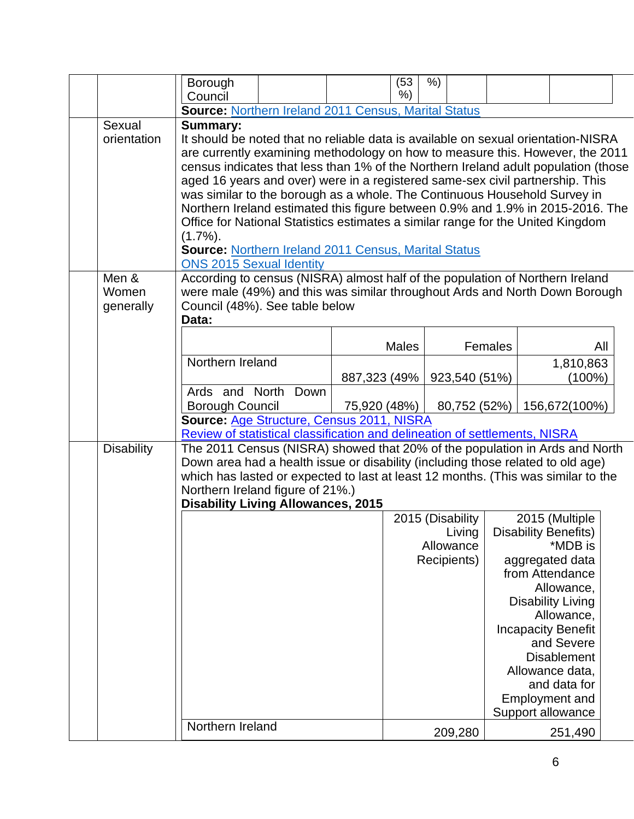|                       | Borough                                                                                                                                                      |              | (53)         | $%$ )            |               |                |  |                                         |  |
|-----------------------|--------------------------------------------------------------------------------------------------------------------------------------------------------------|--------------|--------------|------------------|---------------|----------------|--|-----------------------------------------|--|
|                       | Council                                                                                                                                                      |              | $%$ )        |                  |               |                |  |                                         |  |
|                       | <b>Source: Northern Ireland 2011 Census, Marital Status</b>                                                                                                  |              |              |                  |               |                |  |                                         |  |
| Sexual<br>orientation | <b>Summary:</b><br>It should be noted that no reliable data is available on sexual orientation-NISRA                                                         |              |              |                  |               |                |  |                                         |  |
|                       | are currently examining methodology on how to measure this. However, the 2011                                                                                |              |              |                  |               |                |  |                                         |  |
|                       | census indicates that less than 1% of the Northern Ireland adult population (those                                                                           |              |              |                  |               |                |  |                                         |  |
|                       | aged 16 years and over) were in a registered same-sex civil partnership. This                                                                                |              |              |                  |               |                |  |                                         |  |
|                       | was similar to the borough as a whole. The Continuous Household Survey in                                                                                    |              |              |                  |               |                |  |                                         |  |
|                       | Northern Ireland estimated this figure between 0.9% and 1.9% in 2015-2016. The                                                                               |              |              |                  |               |                |  |                                         |  |
|                       | Office for National Statistics estimates a similar range for the United Kingdom                                                                              |              |              |                  |               |                |  |                                         |  |
|                       | $(1.7\%)$ .                                                                                                                                                  |              |              |                  |               |                |  |                                         |  |
|                       | Source: Northern Ireland 2011 Census, Marital Status                                                                                                         |              |              |                  |               |                |  |                                         |  |
|                       | <b>ONS 2015 Sexual Identity</b>                                                                                                                              |              |              |                  |               |                |  |                                         |  |
| Men &                 | According to census (NISRA) almost half of the population of Northern Ireland<br>were male (49%) and this was similar throughout Ards and North Down Borough |              |              |                  |               |                |  |                                         |  |
| Women                 |                                                                                                                                                              |              |              |                  |               |                |  |                                         |  |
| generally             | Council (48%). See table below<br>Data:                                                                                                                      |              |              |                  |               |                |  |                                         |  |
|                       |                                                                                                                                                              |              |              |                  |               |                |  |                                         |  |
|                       |                                                                                                                                                              |              | <b>Males</b> |                  |               | <b>Females</b> |  | All                                     |  |
|                       | Northern Ireland                                                                                                                                             |              |              |                  |               |                |  | 1,810,863                               |  |
|                       |                                                                                                                                                              | 887,323 (49% |              |                  | 923,540 (51%) |                |  | $(100\%)$                               |  |
|                       | Ards and North Down                                                                                                                                          |              |              |                  |               |                |  |                                         |  |
|                       | <b>Borough Council</b>                                                                                                                                       | 75,920 (48%) |              |                  | 80,752 (52%)  |                |  | 156,672(100%)                           |  |
|                       | Source: Age Structure, Census 2011, NISRA                                                                                                                    |              |              |                  |               |                |  |                                         |  |
|                       | Review of statistical classification and delineation of settlements, NISRA                                                                                   |              |              |                  |               |                |  |                                         |  |
| <b>Disability</b>     | The 2011 Census (NISRA) showed that 20% of the population in Ards and North                                                                                  |              |              |                  |               |                |  |                                         |  |
|                       | Down area had a health issue or disability (including those related to old age)                                                                              |              |              |                  |               |                |  |                                         |  |
|                       | which has lasted or expected to last at least 12 months. (This was similar to the<br>Northern Ireland figure of 21%.)                                        |              |              |                  |               |                |  |                                         |  |
|                       | <b>Disability Living Allowances, 2015</b>                                                                                                                    |              |              |                  |               |                |  |                                         |  |
|                       |                                                                                                                                                              |              |              | 2015 (Disability |               |                |  | 2015 (Multiple                          |  |
|                       |                                                                                                                                                              |              |              |                  | Living        |                |  | <b>Disability Benefits)</b>             |  |
|                       |                                                                                                                                                              |              |              | Allowance        |               |                |  | *MDB is                                 |  |
|                       |                                                                                                                                                              |              |              | Recipients)      |               |                |  | aggregated data                         |  |
|                       |                                                                                                                                                              |              |              |                  |               |                |  | from Attendance                         |  |
|                       |                                                                                                                                                              |              |              |                  |               |                |  | Allowance,                              |  |
|                       |                                                                                                                                                              |              |              |                  |               |                |  | <b>Disability Living</b>                |  |
|                       |                                                                                                                                                              |              |              |                  |               |                |  | Allowance,                              |  |
|                       |                                                                                                                                                              |              |              |                  |               |                |  | <b>Incapacity Benefit</b><br>and Severe |  |
|                       |                                                                                                                                                              |              |              |                  |               |                |  | <b>Disablement</b>                      |  |
|                       |                                                                                                                                                              |              |              |                  |               |                |  | Allowance data,                         |  |
|                       |                                                                                                                                                              |              |              |                  |               |                |  | and data for                            |  |
|                       |                                                                                                                                                              |              |              |                  |               |                |  | Employment and                          |  |
|                       |                                                                                                                                                              |              |              |                  |               |                |  | Support allowance                       |  |
|                       | Northern Ireland                                                                                                                                             |              |              |                  | 209,280       |                |  | 251,490                                 |  |
|                       |                                                                                                                                                              |              |              |                  |               |                |  |                                         |  |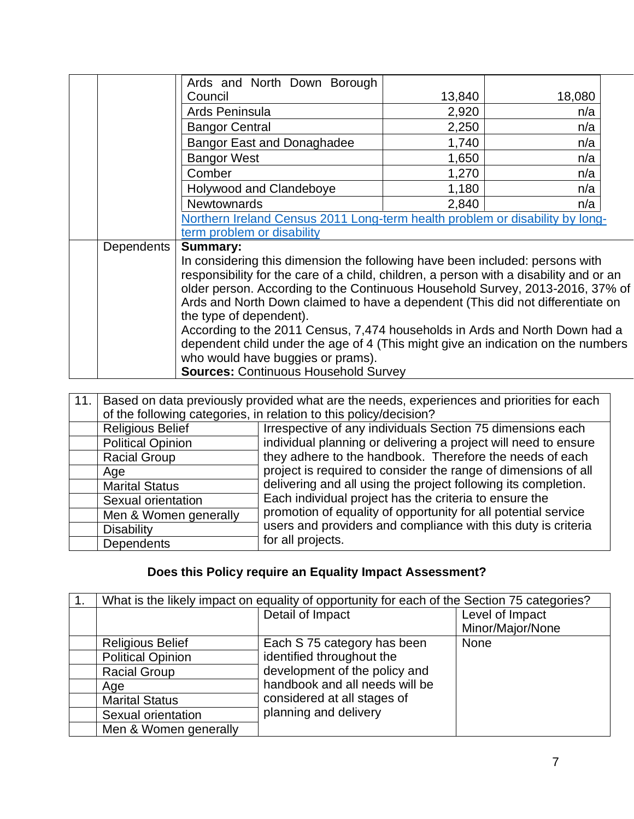|                   | Ards and North Down Borough                                                            |        |        |  |  |  |  |  |
|-------------------|----------------------------------------------------------------------------------------|--------|--------|--|--|--|--|--|
|                   | Council                                                                                | 13,840 | 18,080 |  |  |  |  |  |
|                   | Ards Peninsula                                                                         | 2,920  | n/a    |  |  |  |  |  |
|                   | <b>Bangor Central</b>                                                                  | 2,250  | n/a    |  |  |  |  |  |
|                   | <b>Bangor East and Donaghadee</b>                                                      | 1,740  | n/a    |  |  |  |  |  |
|                   | <b>Bangor West</b>                                                                     | 1,650  | n/a    |  |  |  |  |  |
|                   | Comber                                                                                 | 1,270  | n/a    |  |  |  |  |  |
|                   | Holywood and Clandeboye                                                                | 1,180  | n/a    |  |  |  |  |  |
|                   | <b>Newtownards</b>                                                                     | 2,840  | n/a    |  |  |  |  |  |
|                   | Northern Ireland Census 2011 Long-term health problem or disability by long-           |        |        |  |  |  |  |  |
|                   | term problem or disability                                                             |        |        |  |  |  |  |  |
| <b>Dependents</b> | <b>Summary:</b>                                                                        |        |        |  |  |  |  |  |
|                   | In considering this dimension the following have been included: persons with           |        |        |  |  |  |  |  |
|                   | responsibility for the care of a child, children, a person with a disability and or an |        |        |  |  |  |  |  |
|                   | older person. According to the Continuous Household Survey, 2013-2016, 37% of          |        |        |  |  |  |  |  |
|                   | Ards and North Down claimed to have a dependent (This did not differentiate on         |        |        |  |  |  |  |  |
|                   | the type of dependent).                                                                |        |        |  |  |  |  |  |
|                   | According to the 2011 Census, 7,474 households in Ards and North Down had a            |        |        |  |  |  |  |  |
|                   | dependent child under the age of 4 (This might give an indication on the numbers       |        |        |  |  |  |  |  |
|                   | who would have buggies or prams).                                                      |        |        |  |  |  |  |  |
|                   | <b>Sources: Continuous Household Survey</b>                                            |        |        |  |  |  |  |  |

| 11. | Based on data previously provided what are the needs, experiences and priorities for each |                                                                   |  |  |  |  |  |  |  |  |
|-----|-------------------------------------------------------------------------------------------|-------------------------------------------------------------------|--|--|--|--|--|--|--|--|
|     |                                                                                           | of the following categories, in relation to this policy/decision? |  |  |  |  |  |  |  |  |
|     | <b>Religious Belief</b>                                                                   | Irrespective of any individuals Section 75 dimensions each        |  |  |  |  |  |  |  |  |
|     | <b>Political Opinion</b>                                                                  | individual planning or delivering a project will need to ensure   |  |  |  |  |  |  |  |  |
|     | <b>Racial Group</b>                                                                       | they adhere to the handbook. Therefore the needs of each          |  |  |  |  |  |  |  |  |
|     | Age                                                                                       | project is required to consider the range of dimensions of all    |  |  |  |  |  |  |  |  |
|     | <b>Marital Status</b>                                                                     | delivering and all using the project following its completion.    |  |  |  |  |  |  |  |  |
|     | Sexual orientation                                                                        | Each individual project has the criteria to ensure the            |  |  |  |  |  |  |  |  |
|     | Men & Women generally                                                                     | promotion of equality of opportunity for all potential service    |  |  |  |  |  |  |  |  |
|     | <b>Disability</b>                                                                         | users and providers and compliance with this duty is criteria     |  |  |  |  |  |  |  |  |
|     | <b>Dependents</b>                                                                         | for all projects.                                                 |  |  |  |  |  |  |  |  |

## **Does this Policy require an Equality Impact Assessment?**

| What is the likely impact on equality of opportunity for each of the Section 75 categories? |                                |                                     |  |  |  |  |  |  |  |
|---------------------------------------------------------------------------------------------|--------------------------------|-------------------------------------|--|--|--|--|--|--|--|
|                                                                                             | Detail of Impact               | Level of Impact<br>Minor/Major/None |  |  |  |  |  |  |  |
| <b>Religious Belief</b>                                                                     | Each S 75 category has been    | <b>None</b>                         |  |  |  |  |  |  |  |
| <b>Political Opinion</b>                                                                    | identified throughout the      |                                     |  |  |  |  |  |  |  |
| <b>Racial Group</b>                                                                         | development of the policy and  |                                     |  |  |  |  |  |  |  |
| Age                                                                                         | handbook and all needs will be |                                     |  |  |  |  |  |  |  |
| <b>Marital Status</b>                                                                       | considered at all stages of    |                                     |  |  |  |  |  |  |  |
| Sexual orientation                                                                          | planning and delivery          |                                     |  |  |  |  |  |  |  |
| Men & Women generally                                                                       |                                |                                     |  |  |  |  |  |  |  |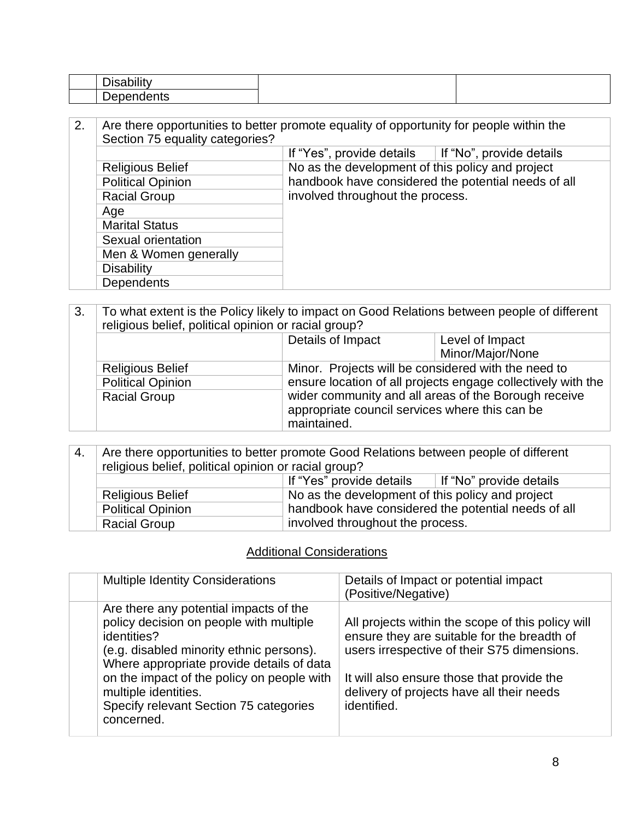| 2. | Are there opportunities to better promote equality of opportunity for people within the<br>Section 75 equality categories? |                                                     |                          |
|----|----------------------------------------------------------------------------------------------------------------------------|-----------------------------------------------------|--------------------------|
|    |                                                                                                                            | If "Yes", provide details                           | If "No", provide details |
|    | <b>Religious Belief</b>                                                                                                    | No as the development of this policy and project    |                          |
|    | <b>Political Opinion</b>                                                                                                   | handbook have considered the potential needs of all |                          |
|    | <b>Racial Group</b>                                                                                                        | involved throughout the process.                    |                          |
|    | Age                                                                                                                        |                                                     |                          |
|    | <b>Marital Status</b>                                                                                                      |                                                     |                          |
|    | Sexual orientation                                                                                                         |                                                     |                          |
|    | Men & Women generally                                                                                                      |                                                     |                          |
|    | <b>Disability</b>                                                                                                          |                                                     |                          |
|    | <b>Dependents</b>                                                                                                          |                                                     |                          |

| 3. | To what extent is the Policy likely to impact on Good Relations between people of different<br>religious belief, political opinion or racial group? |                                                                                                                                                                                                                                              |                  |
|----|-----------------------------------------------------------------------------------------------------------------------------------------------------|----------------------------------------------------------------------------------------------------------------------------------------------------------------------------------------------------------------------------------------------|------------------|
|    |                                                                                                                                                     | Details of Impact                                                                                                                                                                                                                            | Level of Impact  |
|    |                                                                                                                                                     |                                                                                                                                                                                                                                              | Minor/Major/None |
|    | <b>Religious Belief</b>                                                                                                                             | Minor. Projects will be considered with the need to<br>ensure location of all projects engage collectively with the<br>wider community and all areas of the Borough receive<br>appropriate council services where this can be<br>maintained. |                  |
|    | <b>Political Opinion</b>                                                                                                                            |                                                                                                                                                                                                                                              |                  |
|    | <b>Racial Group</b>                                                                                                                                 |                                                                                                                                                                                                                                              |                  |

| -4. | Are there opportunities to better promote Good Relations between people of different<br>religious belief, political opinion or racial group?<br>If "Yes" provide details<br>If "No" provide details |                                                                                                                                             |  |
|-----|-----------------------------------------------------------------------------------------------------------------------------------------------------------------------------------------------------|---------------------------------------------------------------------------------------------------------------------------------------------|--|
|     |                                                                                                                                                                                                     |                                                                                                                                             |  |
|     | <b>Religious Belief</b>                                                                                                                                                                             | No as the development of this policy and project<br>handbook have considered the potential needs of all<br>involved throughout the process. |  |
|     | <b>Political Opinion</b>                                                                                                                                                                            |                                                                                                                                             |  |
|     | <b>Racial Group</b>                                                                                                                                                                                 |                                                                                                                                             |  |

### Additional Considerations

| <b>Multiple Identity Considerations</b>                                                                                                                                                                                                                                                                                 | Details of Impact or potential impact<br>(Positive/Negative)                                                                                                                                                                                              |
|-------------------------------------------------------------------------------------------------------------------------------------------------------------------------------------------------------------------------------------------------------------------------------------------------------------------------|-----------------------------------------------------------------------------------------------------------------------------------------------------------------------------------------------------------------------------------------------------------|
| Are there any potential impacts of the<br>policy decision on people with multiple<br>identities?<br>(e.g. disabled minority ethnic persons).<br>Where appropriate provide details of data<br>on the impact of the policy on people with<br>multiple identities.<br>Specify relevant Section 75 categories<br>concerned. | All projects within the scope of this policy will<br>ensure they are suitable for the breadth of<br>users irrespective of their S75 dimensions.<br>It will also ensure those that provide the<br>delivery of projects have all their needs<br>identified. |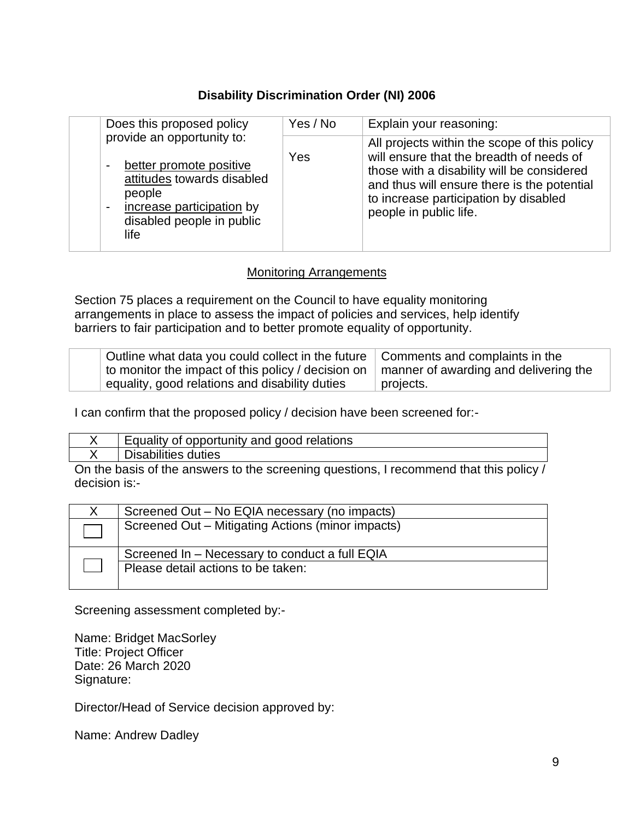### **Disability Discrimination Order (NI) 2006**

| Does this proposed policy                                                                                                                                                                                     | Yes / No | Explain your reasoning:                                                                                                                                                                                                                                  |
|---------------------------------------------------------------------------------------------------------------------------------------------------------------------------------------------------------------|----------|----------------------------------------------------------------------------------------------------------------------------------------------------------------------------------------------------------------------------------------------------------|
| provide an opportunity to:<br>better promote positive<br>$\blacksquare$<br>attitudes towards disabled<br>people<br>increase participation by<br>$\overline{\phantom{a}}$<br>disabled people in public<br>life | Yes      | All projects within the scope of this policy<br>will ensure that the breadth of needs of<br>those with a disability will be considered<br>and thus will ensure there is the potential<br>to increase participation by disabled<br>people in public life. |

#### Monitoring Arrangements

Section 75 places a requirement on the Council to have equality monitoring arrangements in place to assess the impact of policies and services, help identify barriers to fair participation and to better promote equality of opportunity.

| Outline what data you could collect in the future $\parallel$ Comments and complaints in the         |           |
|------------------------------------------------------------------------------------------------------|-----------|
| to monitor the impact of this policy / decision on $\parallel$ manner of awarding and delivering the |           |
| equality, good relations and disability duties                                                       | projects. |

I can confirm that the proposed policy / decision have been screened for:-

| Equality of opportunity and good relations |
|--------------------------------------------|
| lisabilities duties                        |

On the basis of the answers to the screening questions, I recommend that this policy / decision is:-

| Screened Out – No EQIA necessary (no impacts)     |
|---------------------------------------------------|
| Screened Out - Mitigating Actions (minor impacts) |
| Screened In - Necessary to conduct a full EQIA    |
| Please detail actions to be taken:                |
|                                                   |

Screening assessment completed by:-

Name: Bridget MacSorley Title: Project Officer Date: 26 March 2020 Signature:

Director/Head of Service decision approved by:

Name: Andrew Dadley